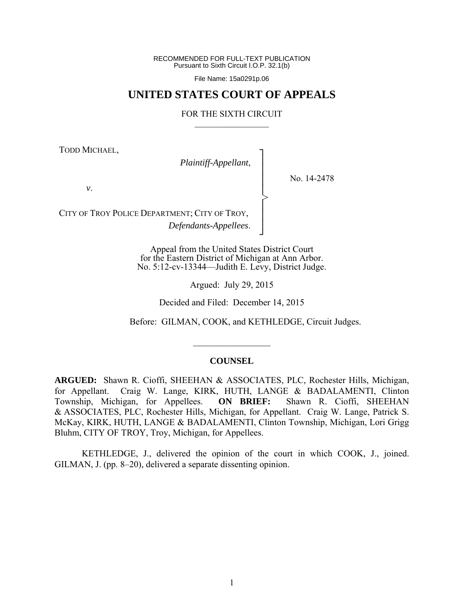RECOMMENDED FOR FULL-TEXT PUBLICATION Pursuant to Sixth Circuit I.O.P. 32.1(b)

File Name: 15a0291p.06

# **UNITED STATES COURT OF APPEALS**

#### FOR THE SIXTH CIRCUIT  $\mathcal{L}_\text{max}$

┐ │ │ │ │ │ │ │ ┘

>

TODD MICHAEL,

*Plaintiff-Appellant*,

No. 14-2478

*v*.

CITY OF TROY POLICE DEPARTMENT; CITY OF TROY, *Defendants-Appellees*.

> Appeal from the United States District Court for the Eastern District of Michigan at Ann Arbor. No. 5:12-cv-13344—Judith E. Levy, District Judge.

> > Argued: July 29, 2015

Decided and Filed: December 14, 2015

Before: GILMAN, COOK, and KETHLEDGE, Circuit Judges.

#### **COUNSEL**

 $\frac{1}{2}$ 

**ARGUED:** Shawn R. Cioffi, SHEEHAN & ASSOCIATES, PLC, Rochester Hills, Michigan, for Appellant. Craig W. Lange, KIRK, HUTH, LANGE & BADALAMENTI, Clinton Township, Michigan, for Appellees. **ON BRIEF:** Shawn R. Cioffi, SHEEHAN & ASSOCIATES, PLC, Rochester Hills, Michigan, for Appellant. Craig W. Lange, Patrick S. McKay, KIRK, HUTH, LANGE & BADALAMENTI, Clinton Township, Michigan, Lori Grigg Bluhm, CITY OF TROY, Troy, Michigan, for Appellees.

 KETHLEDGE, J., delivered the opinion of the court in which COOK, J., joined. GILMAN, J. (pp. 8–20), delivered a separate dissenting opinion.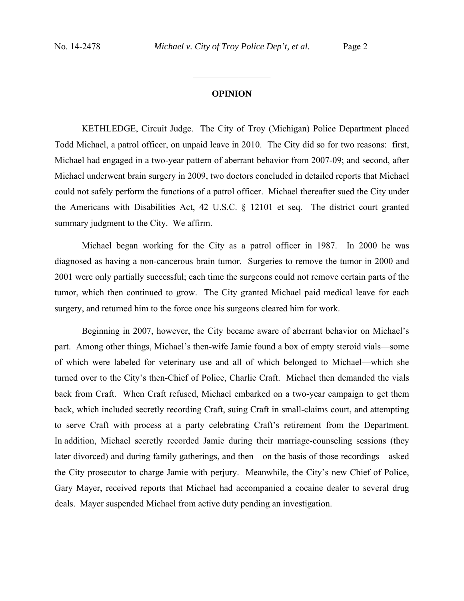## **OPINION**

 $\frac{1}{2}$ 

 $\frac{1}{2}$  ,  $\frac{1}{2}$  ,  $\frac{1}{2}$  ,  $\frac{1}{2}$  ,  $\frac{1}{2}$  ,  $\frac{1}{2}$  ,  $\frac{1}{2}$  ,  $\frac{1}{2}$  ,  $\frac{1}{2}$ 

KETHLEDGE, Circuit Judge. The City of Troy (Michigan) Police Department placed Todd Michael, a patrol officer, on unpaid leave in 2010. The City did so for two reasons: first, Michael had engaged in a two-year pattern of aberrant behavior from 2007-09; and second, after Michael underwent brain surgery in 2009, two doctors concluded in detailed reports that Michael could not safely perform the functions of a patrol officer. Michael thereafter sued the City under the Americans with Disabilities Act, 42 U.S.C. § 12101 et seq. The district court granted summary judgment to the City. We affirm.

Michael began working for the City as a patrol officer in 1987. In 2000 he was diagnosed as having a non-cancerous brain tumor. Surgeries to remove the tumor in 2000 and 2001 were only partially successful; each time the surgeons could not remove certain parts of the tumor, which then continued to grow. The City granted Michael paid medical leave for each surgery, and returned him to the force once his surgeons cleared him for work.

Beginning in 2007, however, the City became aware of aberrant behavior on Michael's part. Among other things, Michael's then-wife Jamie found a box of empty steroid vials—some of which were labeled for veterinary use and all of which belonged to Michael—which she turned over to the City's then-Chief of Police, Charlie Craft. Michael then demanded the vials back from Craft. When Craft refused, Michael embarked on a two-year campaign to get them back, which included secretly recording Craft, suing Craft in small-claims court, and attempting to serve Craft with process at a party celebrating Craft's retirement from the Department. In addition, Michael secretly recorded Jamie during their marriage-counseling sessions (they later divorced) and during family gatherings, and then—on the basis of those recordings—asked the City prosecutor to charge Jamie with perjury. Meanwhile, the City's new Chief of Police, Gary Mayer, received reports that Michael had accompanied a cocaine dealer to several drug deals. Mayer suspended Michael from active duty pending an investigation.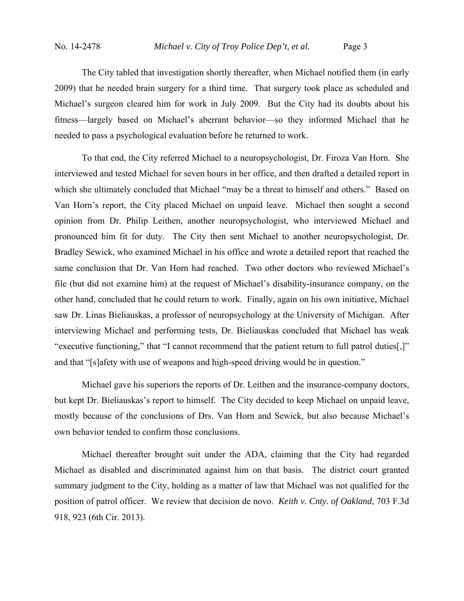The City tabled that investigation shortly thereafter, when Michael notified them (in early 2009) that he needed brain surgery for a third time. That surgery took place as scheduled and Michael's surgeon cleared him for work in July 2009. But the City had its doubts about his fitness—largely based on Michael's aberrant behavior—so they informed Michael that he needed to pass a psychological evaluation before he returned to work.

To that end, the City referred Michael to a neuropsychologist, Dr. Firoza Van Horn. She interviewed and tested Michael for seven hours in her office, and then drafted a detailed report in which she ultimately concluded that Michael "may be a threat to himself and others." Based on Van Horn's report, the City placed Michael on unpaid leave. Michael then sought a second opinion from Dr. Philip Leithen, another neuropsychologist, who interviewed Michael and pronounced him fit for duty. The City then sent Michael to another neuropsychologist, Dr. Bradley Sewick, who examined Michael in his office and wrote a detailed report that reached the same conclusion that Dr. Van Horn had reached. Two other doctors who reviewed Michael's file (but did not examine him) at the request of Michael's disability-insurance company, on the other hand, concluded that he could return to work. Finally, again on his own initiative, Michael saw Dr. Linas Bieliauskas, a professor of neuropsychology at the University of Michigan. After interviewing Michael and performing tests, Dr. Bieliauskas concluded that Michael has weak "executive functioning," that "I cannot recommend that the patient return to full patrol duties[,]" and that "[s]afety with use of weapons and high-speed driving would be in question."

Michael gave his superiors the reports of Dr. Leithen and the insurance-company doctors, but kept Dr. Bieliauskas's report to himself. The City decided to keep Michael on unpaid leave, mostly because of the conclusions of Drs. Van Horn and Sewick, but also because Michael's own behavior tended to confirm those conclusions.

Michael thereafter brought suit under the ADA, claiming that the City had regarded Michael as disabled and discriminated against him on that basis. The district court granted summary judgment to the City, holding as a matter of law that Michael was not qualified for the position of patrol officer. We review that decision de novo. *Keith v. Cnty. of Oakland*, 703 F.3d 918, 923 (6th Cir. 2013).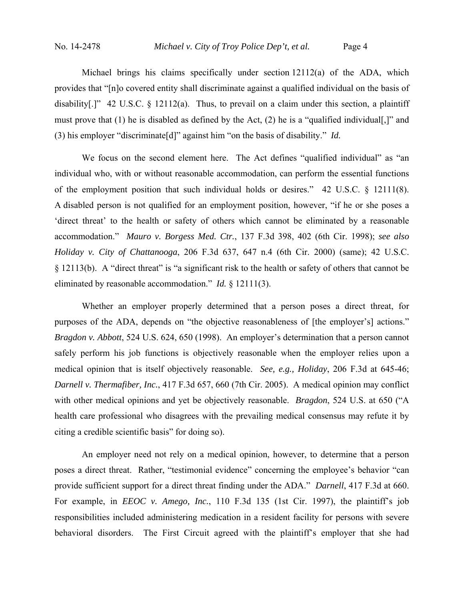Michael brings his claims specifically under section 12112(a) of the ADA, which provides that "[n]o covered entity shall discriminate against a qualified individual on the basis of disability[.]" 42 U.S.C. § 12112(a). Thus, to prevail on a claim under this section, a plaintiff must prove that (1) he is disabled as defined by the Act, (2) he is a "qualified individual[,]" and (3) his employer "discriminate[d]" against him "on the basis of disability." *Id.*

We focus on the second element here. The Act defines "qualified individual" as "an individual who, with or without reasonable accommodation, can perform the essential functions of the employment position that such individual holds or desires." 42 U.S.C. § 12111(8). A disabled person is not qualified for an employment position, however, "if he or she poses a 'direct threat' to the health or safety of others which cannot be eliminated by a reasonable accommodation." *Mauro v. Borgess Med. Ctr.*, 137 F.3d 398, 402 (6th Cir. 1998); *see also Holiday v. City of Chattanooga*, 206 F.3d 637, 647 n.4 (6th Cir. 2000) (same); 42 U.S.C. § 12113(b). A "direct threat" is "a significant risk to the health or safety of others that cannot be eliminated by reasonable accommodation." *Id.* § 12111(3).

Whether an employer properly determined that a person poses a direct threat, for purposes of the ADA, depends on "the objective reasonableness of [the employer's] actions." *Bragdon v. Abbott*, 524 U.S. 624, 650 (1998). An employer's determination that a person cannot safely perform his job functions is objectively reasonable when the employer relies upon a medical opinion that is itself objectively reasonable. *See, e.g., Holiday*, 206 F.3d at 645-46; *Darnell v. Thermafiber, Inc.*, 417 F.3d 657, 660 (7th Cir. 2005). A medical opinion may conflict with other medical opinions and yet be objectively reasonable. *Bragdon*, 524 U.S. at 650 ("A health care professional who disagrees with the prevailing medical consensus may refute it by citing a credible scientific basis" for doing so).

An employer need not rely on a medical opinion, however, to determine that a person poses a direct threat. Rather, "testimonial evidence" concerning the employee's behavior "can provide sufficient support for a direct threat finding under the ADA." *Darnell*, 417 F.3d at 660. For example, in *EEOC v. Amego, Inc.*, 110 F.3d 135 (1st Cir. 1997), the plaintiff's job responsibilities included administering medication in a resident facility for persons with severe behavioral disorders. The First Circuit agreed with the plaintiff's employer that she had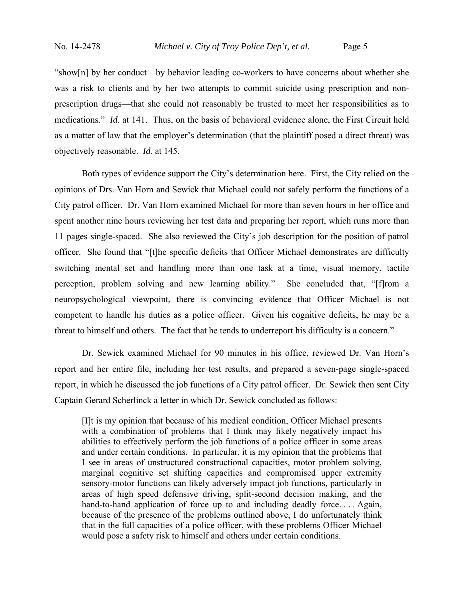"show[n] by her conduct—by behavior leading co-workers to have concerns about whether she was a risk to clients and by her two attempts to commit suicide using prescription and nonprescription drugs—that she could not reasonably be trusted to meet her responsibilities as to medications." *Id*. at 141. Thus, on the basis of behavioral evidence alone, the First Circuit held as a matter of law that the employer's determination (that the plaintiff posed a direct threat) was objectively reasonable. *Id.* at 145.

Both types of evidence support the City's determination here. First, the City relied on the opinions of Drs. Van Horn and Sewick that Michael could not safely perform the functions of a City patrol officer. Dr. Van Horn examined Michael for more than seven hours in her office and spent another nine hours reviewing her test data and preparing her report, which runs more than 11 pages single-spaced. She also reviewed the City's job description for the position of patrol officer. She found that "[t]he specific deficits that Officer Michael demonstrates are difficulty switching mental set and handling more than one task at a time, visual memory, tactile perception, problem solving and new learning ability." She concluded that, "[f]rom a neuropsychological viewpoint, there is convincing evidence that Officer Michael is not competent to handle his duties as a police officer. Given his cognitive deficits, he may be a threat to himself and others. The fact that he tends to underreport his difficulty is a concern."

Dr. Sewick examined Michael for 90 minutes in his office, reviewed Dr. Van Horn's report and her entire file, including her test results, and prepared a seven-page single-spaced report, in which he discussed the job functions of a City patrol officer. Dr. Sewick then sent City Captain Gerard Scherlinck a letter in which Dr. Sewick concluded as follows:

[I]t is my opinion that because of his medical condition, Officer Michael presents with a combination of problems that I think may likely negatively impact his abilities to effectively perform the job functions of a police officer in some areas and under certain conditions. In particular, it is my opinion that the problems that I see in areas of unstructured constructional capacities, motor problem solving, marginal cognitive set shifting capacities and compromised upper extremity sensory-motor functions can likely adversely impact job functions, particularly in areas of high speed defensive driving, split-second decision making, and the hand-to-hand application of force up to and including deadly force.... Again, because of the presence of the problems outlined above, I do unfortunately think that in the full capacities of a police officer, with these problems Officer Michael would pose a safety risk to himself and others under certain conditions.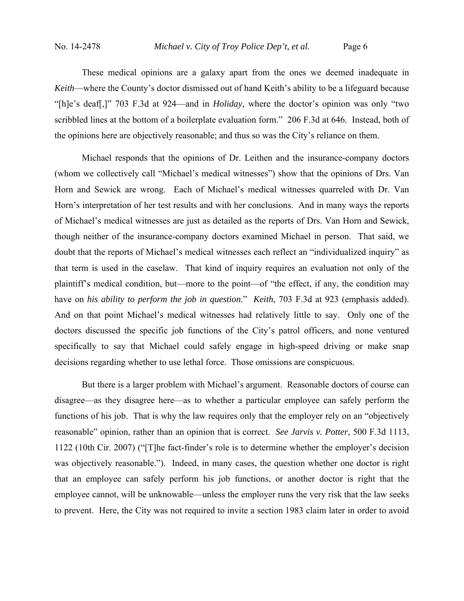These medical opinions are a galaxy apart from the ones we deemed inadequate in *Keith*—where the County's doctor dismissed out of hand Keith's ability to be a lifeguard because "[h]e's deaf[,]" 703 F.3d at 924—and in *Holiday*, where the doctor's opinion was only "two scribbled lines at the bottom of a boilerplate evaluation form." 206 F.3d at 646. Instead, both of the opinions here are objectively reasonable; and thus so was the City's reliance on them.

Michael responds that the opinions of Dr. Leithen and the insurance-company doctors (whom we collectively call "Michael's medical witnesses") show that the opinions of Drs. Van Horn and Sewick are wrong. Each of Michael's medical witnesses quarreled with Dr. Van Horn's interpretation of her test results and with her conclusions. And in many ways the reports of Michael's medical witnesses are just as detailed as the reports of Drs. Van Horn and Sewick, though neither of the insurance-company doctors examined Michael in person. That said, we doubt that the reports of Michael's medical witnesses each reflect an "individualized inquiry" as that term is used in the caselaw. That kind of inquiry requires an evaluation not only of the plaintiff's medical condition, but—more to the point—of "the effect, if any, the condition may have on *his ability to perform the job in question*." *Keith*, 703 F.3d at 923 (emphasis added). And on that point Michael's medical witnesses had relatively little to say. Only one of the doctors discussed the specific job functions of the City's patrol officers, and none ventured specifically to say that Michael could safely engage in high-speed driving or make snap decisions regarding whether to use lethal force. Those omissions are conspicuous.

But there is a larger problem with Michael's argument. Reasonable doctors of course can disagree—as they disagree here—as to whether a particular employee can safely perform the functions of his job. That is why the law requires only that the employer rely on an "objectively reasonable" opinion, rather than an opinion that is correct. *See Jarvis v. Potter*, 500 F.3d 1113, 1122 (10th Cir. 2007) ("[T]he fact-finder's role is to determine whether the employer's decision was objectively reasonable."). Indeed, in many cases, the question whether one doctor is right that an employee can safely perform his job functions, or another doctor is right that the employee cannot, will be unknowable—unless the employer runs the very risk that the law seeks to prevent. Here, the City was not required to invite a section 1983 claim later in order to avoid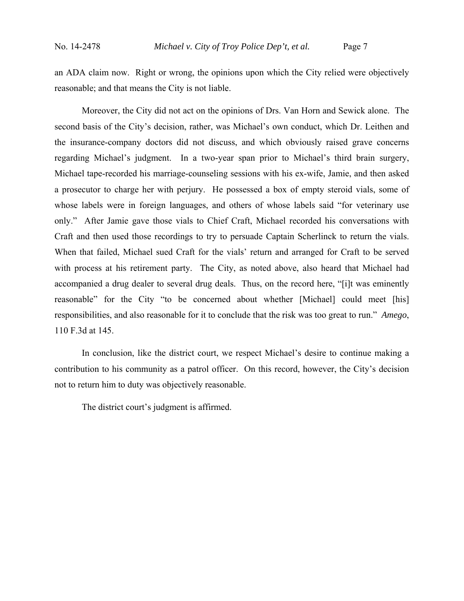an ADA claim now. Right or wrong, the opinions upon which the City relied were objectively reasonable; and that means the City is not liable.

Moreover, the City did not act on the opinions of Drs. Van Horn and Sewick alone. The second basis of the City's decision, rather, was Michael's own conduct, which Dr. Leithen and the insurance-company doctors did not discuss, and which obviously raised grave concerns regarding Michael's judgment. In a two-year span prior to Michael's third brain surgery, Michael tape-recorded his marriage-counseling sessions with his ex-wife, Jamie, and then asked a prosecutor to charge her with perjury. He possessed a box of empty steroid vials, some of whose labels were in foreign languages, and others of whose labels said "for veterinary use only." After Jamie gave those vials to Chief Craft, Michael recorded his conversations with Craft and then used those recordings to try to persuade Captain Scherlinck to return the vials. When that failed, Michael sued Craft for the vials' return and arranged for Craft to be served with process at his retirement party. The City, as noted above, also heard that Michael had accompanied a drug dealer to several drug deals. Thus, on the record here, "[i]t was eminently reasonable" for the City "to be concerned about whether [Michael] could meet [his] responsibilities, and also reasonable for it to conclude that the risk was too great to run." *Amego*, 110 F.3d at 145.

In conclusion, like the district court, we respect Michael's desire to continue making a contribution to his community as a patrol officer. On this record, however, the City's decision not to return him to duty was objectively reasonable.

The district court's judgment is affirmed.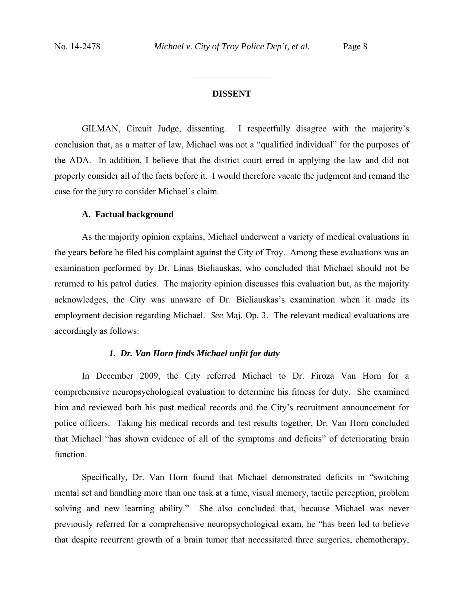# **DISSENT**  $\frac{1}{2}$

 $\frac{1}{2}$  ,  $\frac{1}{2}$  ,  $\frac{1}{2}$  ,  $\frac{1}{2}$  ,  $\frac{1}{2}$  ,  $\frac{1}{2}$  ,  $\frac{1}{2}$  ,  $\frac{1}{2}$  ,  $\frac{1}{2}$ 

GILMAN, Circuit Judge, dissenting. I respectfully disagree with the majority's conclusion that, as a matter of law, Michael was not a "qualified individual" for the purposes of the ADA. In addition, I believe that the district court erred in applying the law and did not properly consider all of the facts before it. I would therefore vacate the judgment and remand the case for the jury to consider Michael's claim.

### **A. Factual background**

 As the majority opinion explains, Michael underwent a variety of medical evaluations in the years before he filed his complaint against the City of Troy. Among these evaluations was an examination performed by Dr. Linas Bieliauskas, who concluded that Michael should not be returned to his patrol duties. The majority opinion discusses this evaluation but, as the majority acknowledges, the City was unaware of Dr. Bieliauskas's examination when it made its employment decision regarding Michael. *See* Maj. Op. 3. The relevant medical evaluations are accordingly as follows:

### *1. Dr. Van Horn finds Michael unfit for duty*

In December 2009, the City referred Michael to Dr. Firoza Van Horn for a comprehensive neuropsychological evaluation to determine his fitness for duty. She examined him and reviewed both his past medical records and the City's recruitment announcement for police officers. Taking his medical records and test results together, Dr. Van Horn concluded that Michael "has shown evidence of all of the symptoms and deficits" of deteriorating brain function.

Specifically, Dr. Van Horn found that Michael demonstrated deficits in "switching mental set and handling more than one task at a time, visual memory, tactile perception, problem solving and new learning ability." She also concluded that, because Michael was never previously referred for a comprehensive neuropsychological exam, he "has been led to believe that despite recurrent growth of a brain tumor that necessitated three surgeries, chemotherapy,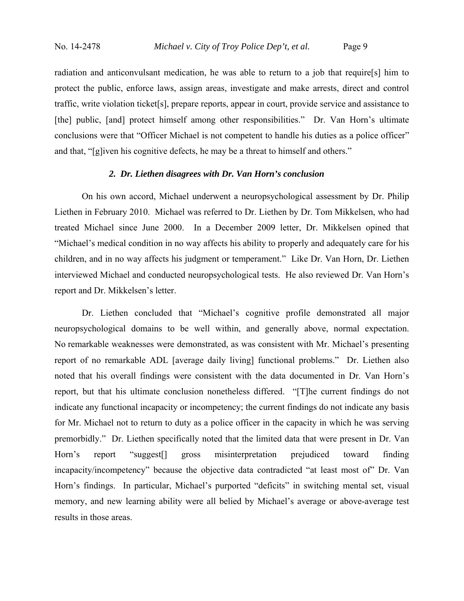radiation and anticonvulsant medication, he was able to return to a job that require[s] him to protect the public, enforce laws, assign areas, investigate and make arrests, direct and control traffic, write violation ticket[s], prepare reports, appear in court, provide service and assistance to [the] public, [and] protect himself among other responsibilities." Dr. Van Horn's ultimate conclusions were that "Officer Michael is not competent to handle his duties as a police officer" and that, "[g]iven his cognitive defects, he may be a threat to himself and others."

## *2. Dr. Liethen disagrees with Dr. Van Horn's conclusion*

On his own accord, Michael underwent a neuropsychological assessment by Dr. Philip Liethen in February 2010. Michael was referred to Dr. Liethen by Dr. Tom Mikkelsen, who had treated Michael since June 2000. In a December 2009 letter, Dr. Mikkelsen opined that "Michael's medical condition in no way affects his ability to properly and adequately care for his children, and in no way affects his judgment or temperament." Like Dr. Van Horn, Dr. Liethen interviewed Michael and conducted neuropsychological tests. He also reviewed Dr. Van Horn's report and Dr. Mikkelsen's letter.

Dr. Liethen concluded that "Michael's cognitive profile demonstrated all major neuropsychological domains to be well within, and generally above, normal expectation. No remarkable weaknesses were demonstrated, as was consistent with Mr. Michael's presenting report of no remarkable ADL [average daily living] functional problems." Dr. Liethen also noted that his overall findings were consistent with the data documented in Dr. Van Horn's report, but that his ultimate conclusion nonetheless differed. "[T]he current findings do not indicate any functional incapacity or incompetency; the current findings do not indicate any basis for Mr. Michael not to return to duty as a police officer in the capacity in which he was serving premorbidly." Dr. Liethen specifically noted that the limited data that were present in Dr. Van Horn's report "suggest[] gross misinterpretation prejudiced toward finding incapacity/incompetency" because the objective data contradicted "at least most of" Dr. Van Horn's findings. In particular, Michael's purported "deficits" in switching mental set, visual memory, and new learning ability were all belied by Michael's average or above-average test results in those areas.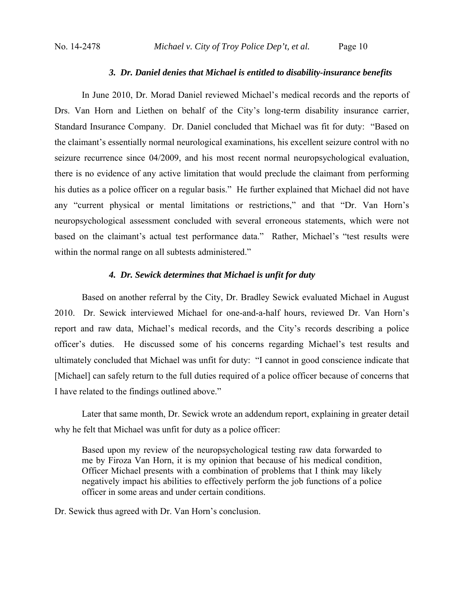## *3. Dr. Daniel denies that Michael is entitled to disability-insurance benefits*

In June 2010, Dr. Morad Daniel reviewed Michael's medical records and the reports of Drs. Van Horn and Liethen on behalf of the City's long-term disability insurance carrier, Standard Insurance Company. Dr. Daniel concluded that Michael was fit for duty: "Based on the claimant's essentially normal neurological examinations, his excellent seizure control with no seizure recurrence since 04/2009, and his most recent normal neuropsychological evaluation, there is no evidence of any active limitation that would preclude the claimant from performing his duties as a police officer on a regular basis." He further explained that Michael did not have any "current physical or mental limitations or restrictions," and that "Dr. Van Horn's neuropsychological assessment concluded with several erroneous statements, which were not based on the claimant's actual test performance data." Rather, Michael's "test results were within the normal range on all subtests administered."

## *4. Dr. Sewick determines that Michael is unfit for duty*

Based on another referral by the City, Dr. Bradley Sewick evaluated Michael in August 2010. Dr. Sewick interviewed Michael for one-and-a-half hours, reviewed Dr. Van Horn's report and raw data, Michael's medical records, and the City's records describing a police officer's duties. He discussed some of his concerns regarding Michael's test results and ultimately concluded that Michael was unfit for duty: "I cannot in good conscience indicate that [Michael] can safely return to the full duties required of a police officer because of concerns that I have related to the findings outlined above."

Later that same month, Dr. Sewick wrote an addendum report, explaining in greater detail why he felt that Michael was unfit for duty as a police officer:

Based upon my review of the neuropsychological testing raw data forwarded to me by Firoza Van Horn, it is my opinion that because of his medical condition, Officer Michael presents with a combination of problems that I think may likely negatively impact his abilities to effectively perform the job functions of a police officer in some areas and under certain conditions.

Dr. Sewick thus agreed with Dr. Van Horn's conclusion.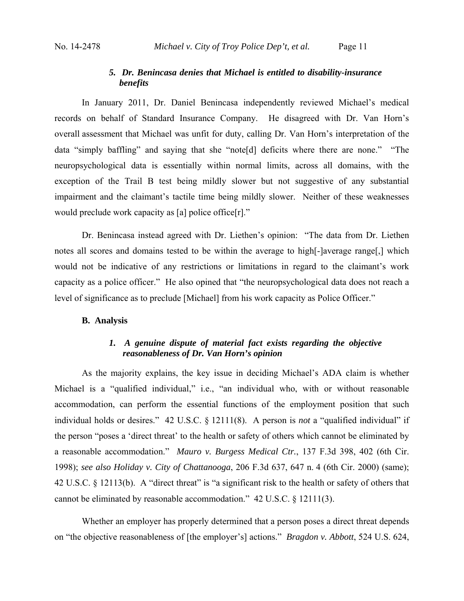## *5. Dr. Benincasa denies that Michael is entitled to disability-insurance benefits*

In January 2011, Dr. Daniel Benincasa independently reviewed Michael's medical records on behalf of Standard Insurance Company. He disagreed with Dr. Van Horn's overall assessment that Michael was unfit for duty, calling Dr. Van Horn's interpretation of the data "simply baffling" and saying that she "note[d] deficits where there are none." "The neuropsychological data is essentially within normal limits, across all domains, with the exception of the Trail B test being mildly slower but not suggestive of any substantial impairment and the claimant's tactile time being mildly slower. Neither of these weaknesses would preclude work capacity as [a] police office[r]."

Dr. Benincasa instead agreed with Dr. Liethen's opinion: "The data from Dr. Liethen notes all scores and domains tested to be within the average to high[-]average range[,] which would not be indicative of any restrictions or limitations in regard to the claimant's work capacity as a police officer." He also opined that "the neuropsychological data does not reach a level of significance as to preclude [Michael] from his work capacity as Police Officer."

## **B. Analysis**

# *1. A genuine dispute of material fact exists regarding the objective reasonableness of Dr. Van Horn's opinion*

As the majority explains, the key issue in deciding Michael's ADA claim is whether Michael is a "qualified individual," i.e., "an individual who, with or without reasonable accommodation, can perform the essential functions of the employment position that such individual holds or desires." 42 U.S.C. § 12111(8). A person is *not* a "qualified individual" if the person "poses a 'direct threat' to the health or safety of others which cannot be eliminated by a reasonable accommodation." *Mauro v. Burgess Medical Ctr.*, 137 F.3d 398, 402 (6th Cir. 1998); *see also Holiday v. City of Chattanooga*, 206 F.3d 637, 647 n. 4 (6th Cir. 2000) (same); 42 U.S.C. § 12113(b). A "direct threat" is "a significant risk to the health or safety of others that cannot be eliminated by reasonable accommodation." 42 U.S.C. § 12111(3).

Whether an employer has properly determined that a person poses a direct threat depends on "the objective reasonableness of [the employer's] actions." *Bragdon v. Abbott*, 524 U.S. 624,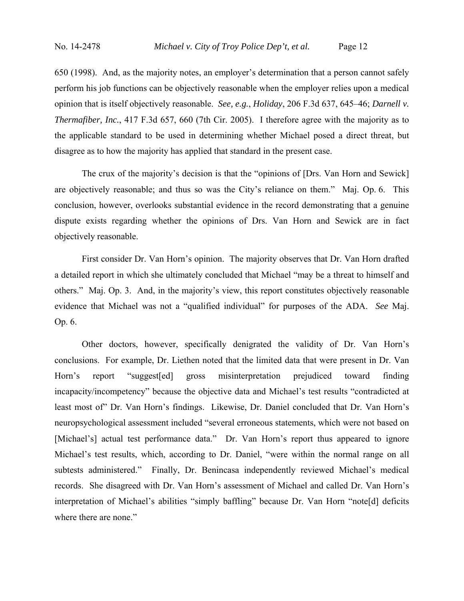650 (1998). And, as the majority notes, an employer's determination that a person cannot safely perform his job functions can be objectively reasonable when the employer relies upon a medical opinion that is itself objectively reasonable. *See, e.g.*, *Holiday*, 206 F.3d 637, 645–46; *Darnell v. Thermafiber, Inc.*, 417 F.3d 657, 660 (7th Cir. 2005). I therefore agree with the majority as to the applicable standard to be used in determining whether Michael posed a direct threat, but disagree as to how the majority has applied that standard in the present case.

 The crux of the majority's decision is that the "opinions of [Drs. Van Horn and Sewick] are objectively reasonable; and thus so was the City's reliance on them." Maj. Op. 6. This conclusion, however, overlooks substantial evidence in the record demonstrating that a genuine dispute exists regarding whether the opinions of Drs. Van Horn and Sewick are in fact objectively reasonable.

 First consider Dr. Van Horn's opinion. The majority observes that Dr. Van Horn drafted a detailed report in which she ultimately concluded that Michael "may be a threat to himself and others." Maj. Op. 3. And, in the majority's view, this report constitutes objectively reasonable evidence that Michael was not a "qualified individual" for purposes of the ADA. *See* Maj. Op. 6.

Other doctors, however, specifically denigrated the validity of Dr. Van Horn's conclusions. For example, Dr. Liethen noted that the limited data that were present in Dr. Van Horn's report "suggest[ed] gross misinterpretation prejudiced toward finding incapacity/incompetency" because the objective data and Michael's test results "contradicted at least most of" Dr. Van Horn's findings. Likewise, Dr. Daniel concluded that Dr. Van Horn's neuropsychological assessment included "several erroneous statements, which were not based on [Michael's] actual test performance data." Dr. Van Horn's report thus appeared to ignore Michael's test results, which, according to Dr. Daniel, "were within the normal range on all subtests administered." Finally, Dr. Benincasa independently reviewed Michael's medical records. She disagreed with Dr. Van Horn's assessment of Michael and called Dr. Van Horn's interpretation of Michael's abilities "simply baffling" because Dr. Van Horn "note[d] deficits where there are none."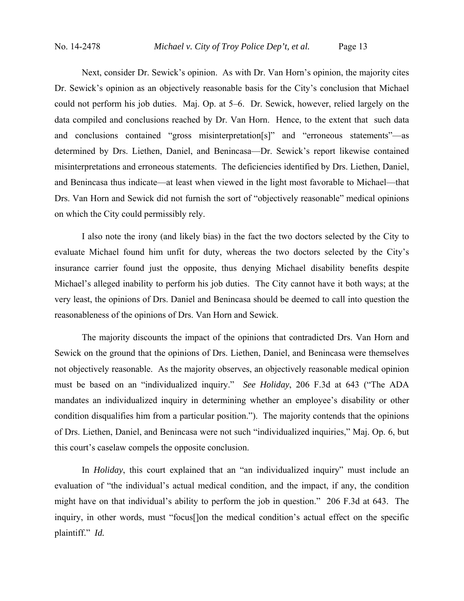Next, consider Dr. Sewick's opinion. As with Dr. Van Horn's opinion, the majority cites Dr. Sewick's opinion as an objectively reasonable basis for the City's conclusion that Michael could not perform his job duties. Maj. Op. at 5–6. Dr. Sewick, however, relied largely on the data compiled and conclusions reached by Dr. Van Horn. Hence, to the extent that such data and conclusions contained "gross misinterpretation[s]" and "erroneous statements"—as determined by Drs. Liethen, Daniel, and Benincasa—Dr. Sewick's report likewise contained misinterpretations and erroneous statements. The deficiencies identified by Drs. Liethen, Daniel, and Benincasa thus indicate—at least when viewed in the light most favorable to Michael—that Drs. Van Horn and Sewick did not furnish the sort of "objectively reasonable" medical opinions on which the City could permissibly rely.

 I also note the irony (and likely bias) in the fact the two doctors selected by the City to evaluate Michael found him unfit for duty, whereas the two doctors selected by the City's insurance carrier found just the opposite, thus denying Michael disability benefits despite Michael's alleged inability to perform his job duties. The City cannot have it both ways; at the very least, the opinions of Drs. Daniel and Benincasa should be deemed to call into question the reasonableness of the opinions of Drs. Van Horn and Sewick.

 The majority discounts the impact of the opinions that contradicted Drs. Van Horn and Sewick on the ground that the opinions of Drs. Liethen, Daniel, and Benincasa were themselves not objectively reasonable. As the majority observes, an objectively reasonable medical opinion must be based on an "individualized inquiry." *See Holiday*, 206 F.3d at 643 ("The ADA mandates an individualized inquiry in determining whether an employee's disability or other condition disqualifies him from a particular position."). The majority contends that the opinions of Drs. Liethen, Daniel, and Benincasa were not such "individualized inquiries," Maj. Op. 6, but this court's caselaw compels the opposite conclusion.

 In *Holiday*, this court explained that an "an individualized inquiry" must include an evaluation of "the individual's actual medical condition, and the impact, if any, the condition might have on that individual's ability to perform the job in question." 206 F.3d at 643. The inquiry, in other words, must "focus[]on the medical condition's actual effect on the specific plaintiff." *Id.*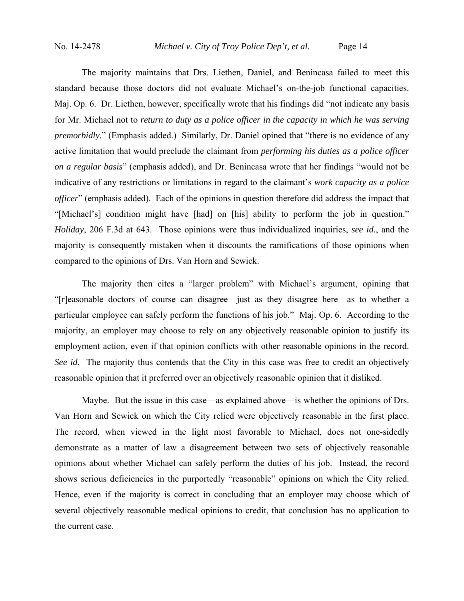The majority maintains that Drs. Liethen, Daniel, and Benincasa failed to meet this standard because those doctors did not evaluate Michael's on-the-job functional capacities. Maj. Op. 6. Dr. Liethen, however, specifically wrote that his findings did "not indicate any basis for Mr. Michael not to *return to duty as a police officer in the capacity in which he was serving premorbidly*." (Emphasis added.) Similarly, Dr. Daniel opined that "there is no evidence of any active limitation that would preclude the claimant from *performing his duties as a police officer on a regular basis*" (emphasis added), and Dr. Benincasa wrote that her findings "would not be indicative of any restrictions or limitations in regard to the claimant's *work capacity as a police officer*" (emphasis added). Each of the opinions in question therefore did address the impact that "[Michael's] condition might have [had] on [his] ability to perform the job in question." *Holiday*, 206 F.3d at 643. Those opinions were thus individualized inquiries, *see id.*, and the majority is consequently mistaken when it discounts the ramifications of those opinions when compared to the opinions of Drs. Van Horn and Sewick.

 The majority then cites a "larger problem" with Michael's argument, opining that "[r]easonable doctors of course can disagree—just as they disagree here—as to whether a particular employee can safely perform the functions of his job." Maj. Op. 6. According to the majority, an employer may choose to rely on any objectively reasonable opinion to justify its employment action, even if that opinion conflicts with other reasonable opinions in the record. *See id.* The majority thus contends that the City in this case was free to credit an objectively reasonable opinion that it preferred over an objectively reasonable opinion that it disliked.

 Maybe. But the issue in this case—as explained above—is whether the opinions of Drs. Van Horn and Sewick on which the City relied were objectively reasonable in the first place. The record, when viewed in the light most favorable to Michael, does not one-sidedly demonstrate as a matter of law a disagreement between two sets of objectively reasonable opinions about whether Michael can safely perform the duties of his job. Instead, the record shows serious deficiencies in the purportedly "reasonable" opinions on which the City relied. Hence, even if the majority is correct in concluding that an employer may choose which of several objectively reasonable medical opinions to credit, that conclusion has no application to the current case.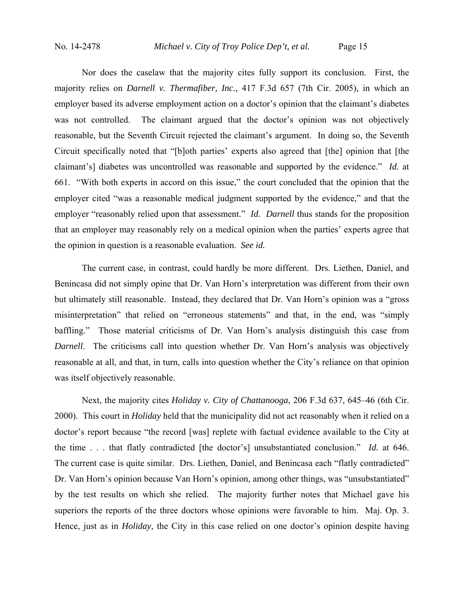Nor does the caselaw that the majority cites fully support its conclusion. First, the majority relies on *Darnell v. Thermafiber, Inc.*, 417 F.3d 657 (7th Cir. 2005), in which an employer based its adverse employment action on a doctor's opinion that the claimant's diabetes was not controlled. The claimant argued that the doctor's opinion was not objectively reasonable, but the Seventh Circuit rejected the claimant's argument. In doing so, the Seventh Circuit specifically noted that "[b]oth parties' experts also agreed that [the] opinion that [the claimant's] diabetes was uncontrolled was reasonable and supported by the evidence." *Id.* at 661. "With both experts in accord on this issue," the court concluded that the opinion that the employer cited "was a reasonable medical judgment supported by the evidence," and that the employer "reasonably relied upon that assessment." *Id. Darnell* thus stands for the proposition that an employer may reasonably rely on a medical opinion when the parties' experts agree that the opinion in question is a reasonable evaluation. *See id.*

 The current case, in contrast, could hardly be more different. Drs. Liethen, Daniel, and Benincasa did not simply opine that Dr. Van Horn's interpretation was different from their own but ultimately still reasonable. Instead, they declared that Dr. Van Horn's opinion was a "gross misinterpretation" that relied on "erroneous statements" and that, in the end, was "simply baffling." Those material criticisms of Dr. Van Horn's analysis distinguish this case from *Darnell*. The criticisms call into question whether Dr. Van Horn's analysis was objectively reasonable at all, and that, in turn, calls into question whether the City's reliance on that opinion was itself objectively reasonable.

 Next, the majority cites *Holiday v. City of Chattanooga*, 206 F.3d 637, 645–46 (6th Cir. 2000). This court in *Holiday* held that the municipality did not act reasonably when it relied on a doctor's report because "the record [was] replete with factual evidence available to the City at the time . . . that flatly contradicted [the doctor's] unsubstantiated conclusion." *Id.* at 646. The current case is quite similar. Drs. Liethen, Daniel, and Benincasa each "flatly contradicted" Dr. Van Horn's opinion because Van Horn's opinion, among other things, was "unsubstantiated" by the test results on which she relied. The majority further notes that Michael gave his superiors the reports of the three doctors whose opinions were favorable to him. Maj. Op. 3. Hence, just as in *Holiday*, the City in this case relied on one doctor's opinion despite having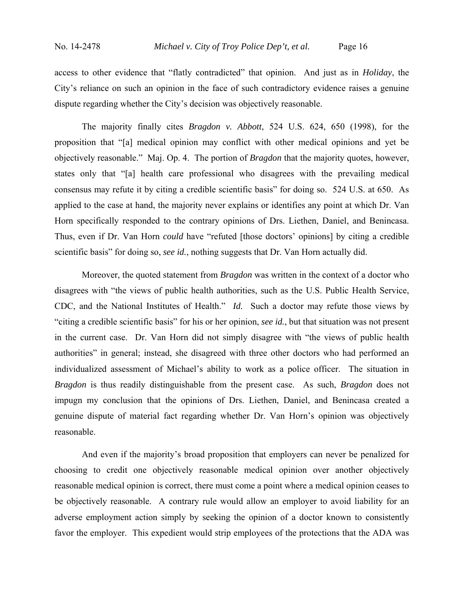access to other evidence that "flatly contradicted" that opinion. And just as in *Holiday*, the City's reliance on such an opinion in the face of such contradictory evidence raises a genuine dispute regarding whether the City's decision was objectively reasonable.

 The majority finally cites *Bragdon v. Abbott*, 524 U.S. 624, 650 (1998), for the proposition that "[a] medical opinion may conflict with other medical opinions and yet be objectively reasonable." Maj. Op. 4. The portion of *Bragdon* that the majority quotes, however, states only that "[a] health care professional who disagrees with the prevailing medical consensus may refute it by citing a credible scientific basis" for doing so. 524 U.S. at 650. As applied to the case at hand, the majority never explains or identifies any point at which Dr. Van Horn specifically responded to the contrary opinions of Drs. Liethen, Daniel, and Benincasa. Thus, even if Dr. Van Horn *could* have "refuted [those doctors' opinions] by citing a credible scientific basis" for doing so, *see id.*, nothing suggests that Dr. Van Horn actually did.

 Moreover, the quoted statement from *Bragdon* was written in the context of a doctor who disagrees with "the views of public health authorities, such as the U.S. Public Health Service, CDC, and the National Institutes of Health." *Id.* Such a doctor may refute those views by "citing a credible scientific basis" for his or her opinion, *see id.*, but that situation was not present in the current case. Dr. Van Horn did not simply disagree with "the views of public health authorities" in general; instead, she disagreed with three other doctors who had performed an individualized assessment of Michael's ability to work as a police officer. The situation in *Bragdon* is thus readily distinguishable from the present case. As such, *Bragdon* does not impugn my conclusion that the opinions of Drs. Liethen, Daniel, and Benincasa created a genuine dispute of material fact regarding whether Dr. Van Horn's opinion was objectively reasonable.

 And even if the majority's broad proposition that employers can never be penalized for choosing to credit one objectively reasonable medical opinion over another objectively reasonable medical opinion is correct, there must come a point where a medical opinion ceases to be objectively reasonable. A contrary rule would allow an employer to avoid liability for an adverse employment action simply by seeking the opinion of a doctor known to consistently favor the employer. This expedient would strip employees of the protections that the ADA was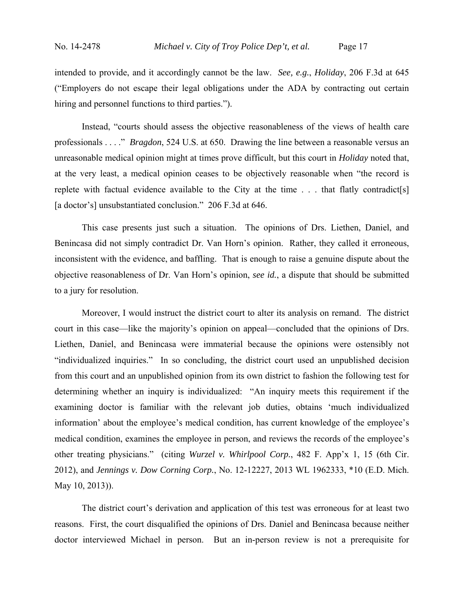intended to provide, and it accordingly cannot be the law. *See, e.g.*, *Holiday*, 206 F.3d at 645 ("Employers do not escape their legal obligations under the ADA by contracting out certain hiring and personnel functions to third parties.").

 Instead, "courts should assess the objective reasonableness of the views of health care professionals . . . ." *Bragdon*, 524 U.S. at 650. Drawing the line between a reasonable versus an unreasonable medical opinion might at times prove difficult, but this court in *Holiday* noted that, at the very least, a medical opinion ceases to be objectively reasonable when "the record is replete with factual evidence available to the City at the time . . . that flatly contradict[s] [a doctor's] unsubstantiated conclusion." 206 F.3d at 646.

 This case presents just such a situation. The opinions of Drs. Liethen, Daniel, and Benincasa did not simply contradict Dr. Van Horn's opinion. Rather, they called it erroneous, inconsistent with the evidence, and baffling. That is enough to raise a genuine dispute about the objective reasonableness of Dr. Van Horn's opinion, *see id.*, a dispute that should be submitted to a jury for resolution.

 Moreover, I would instruct the district court to alter its analysis on remand. The district court in this case—like the majority's opinion on appeal—concluded that the opinions of Drs. Liethen, Daniel, and Benincasa were immaterial because the opinions were ostensibly not "individualized inquiries." In so concluding, the district court used an unpublished decision from this court and an unpublished opinion from its own district to fashion the following test for determining whether an inquiry is individualized: "An inquiry meets this requirement if the examining doctor is familiar with the relevant job duties, obtains 'much individualized information' about the employee's medical condition, has current knowledge of the employee's medical condition, examines the employee in person, and reviews the records of the employee's other treating physicians." (citing *Wurzel v. Whirlpool Corp.*, 482 F. App'x 1, 15 (6th Cir. 2012), and *Jennings v. Dow Corning Corp.*, No. 12-12227, 2013 WL 1962333, \*10 (E.D. Mich. May 10, 2013)).

 The district court's derivation and application of this test was erroneous for at least two reasons. First, the court disqualified the opinions of Drs. Daniel and Benincasa because neither doctor interviewed Michael in person. But an in-person review is not a prerequisite for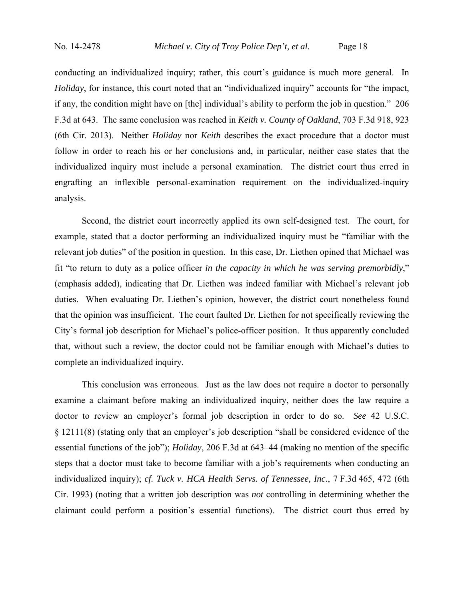conducting an individualized inquiry; rather, this court's guidance is much more general. In *Holiday*, for instance, this court noted that an "individualized inquiry" accounts for "the impact, if any, the condition might have on [the] individual's ability to perform the job in question." 206 F.3d at 643. The same conclusion was reached in *Keith v. County of Oakland*, 703 F.3d 918, 923 (6th Cir. 2013). Neither *Holiday* nor *Keith* describes the exact procedure that a doctor must follow in order to reach his or her conclusions and, in particular, neither case states that the individualized inquiry must include a personal examination. The district court thus erred in engrafting an inflexible personal-examination requirement on the individualized-inquiry analysis.

 Second, the district court incorrectly applied its own self-designed test. The court, for example, stated that a doctor performing an individualized inquiry must be "familiar with the relevant job duties" of the position in question. In this case, Dr. Liethen opined that Michael was fit "to return to duty as a police officer *in the capacity in which he was serving premorbidly*," (emphasis added), indicating that Dr. Liethen was indeed familiar with Michael's relevant job duties. When evaluating Dr. Liethen's opinion, however, the district court nonetheless found that the opinion was insufficient. The court faulted Dr. Liethen for not specifically reviewing the City's formal job description for Michael's police-officer position. It thus apparently concluded that, without such a review, the doctor could not be familiar enough with Michael's duties to complete an individualized inquiry.

 This conclusion was erroneous. Just as the law does not require a doctor to personally examine a claimant before making an individualized inquiry, neither does the law require a doctor to review an employer's formal job description in order to do so. *See* 42 U.S.C. § 12111(8) (stating only that an employer's job description "shall be considered evidence of the essential functions of the job"); *Holiday*, 206 F.3d at 643–44 (making no mention of the specific steps that a doctor must take to become familiar with a job's requirements when conducting an individualized inquiry); *cf. Tuck v. HCA Health Servs. of Tennessee, Inc.*, 7 F.3d 465, 472 (6th Cir. 1993) (noting that a written job description was *not* controlling in determining whether the claimant could perform a position's essential functions). The district court thus erred by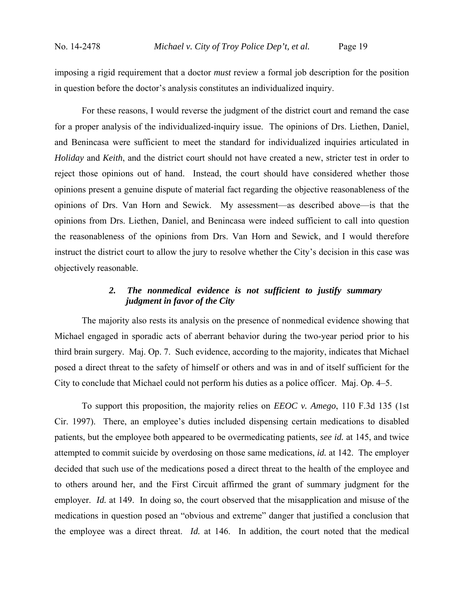imposing a rigid requirement that a doctor *must* review a formal job description for the position in question before the doctor's analysis constitutes an individualized inquiry.

 For these reasons, I would reverse the judgment of the district court and remand the case for a proper analysis of the individualized-inquiry issue. The opinions of Drs. Liethen, Daniel, and Benincasa were sufficient to meet the standard for individualized inquiries articulated in *Holiday* and *Keith*, and the district court should not have created a new, stricter test in order to reject those opinions out of hand. Instead, the court should have considered whether those opinions present a genuine dispute of material fact regarding the objective reasonableness of the opinions of Drs. Van Horn and Sewick. My assessment—as described above—is that the opinions from Drs. Liethen, Daniel, and Benincasa were indeed sufficient to call into question the reasonableness of the opinions from Drs. Van Horn and Sewick, and I would therefore instruct the district court to allow the jury to resolve whether the City's decision in this case was objectively reasonable.

# *2. The nonmedical evidence is not sufficient to justify summary judgment in favor of the City*

 The majority also rests its analysis on the presence of nonmedical evidence showing that Michael engaged in sporadic acts of aberrant behavior during the two-year period prior to his third brain surgery. Maj. Op. 7. Such evidence, according to the majority, indicates that Michael posed a direct threat to the safety of himself or others and was in and of itself sufficient for the City to conclude that Michael could not perform his duties as a police officer. Maj. Op. 4–5.

 To support this proposition, the majority relies on *EEOC v. Amego*, 110 F.3d 135 (1st Cir. 1997). There, an employee's duties included dispensing certain medications to disabled patients, but the employee both appeared to be overmedicating patients, *see id.* at 145, and twice attempted to commit suicide by overdosing on those same medications, *id.* at 142. The employer decided that such use of the medications posed a direct threat to the health of the employee and to others around her, and the First Circuit affirmed the grant of summary judgment for the employer. *Id.* at 149. In doing so, the court observed that the misapplication and misuse of the medications in question posed an "obvious and extreme" danger that justified a conclusion that the employee was a direct threat. *Id.* at 146. In addition, the court noted that the medical